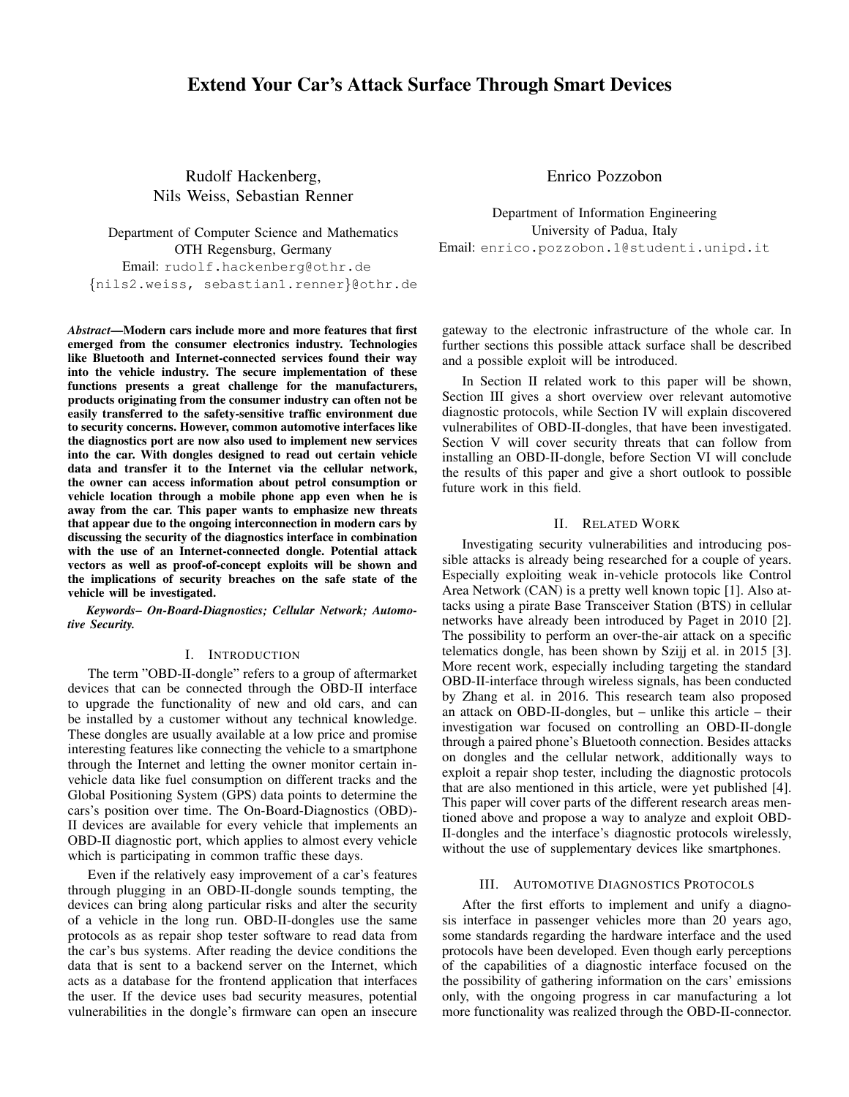# Extend Your Car's Attack Surface Through Smart Devices

Rudolf Hackenberg, Nils Weiss, Sebastian Renner

Department of Computer Science and Mathematics OTH Regensburg, Germany Email: rudolf.hackenberg@othr.de {nils2.weiss, sebastian1.renner}@othr.de

*Abstract*—Modern cars include more and more features that first emerged from the consumer electronics industry. Technologies like Bluetooth and Internet-connected services found their way into the vehicle industry. The secure implementation of these functions presents a great challenge for the manufacturers, products originating from the consumer industry can often not be easily transferred to the safety-sensitive traffic environment due to security concerns. However, common automotive interfaces like the diagnostics port are now also used to implement new services into the car. With dongles designed to read out certain vehicle data and transfer it to the Internet via the cellular network, the owner can access information about petrol consumption or vehicle location through a mobile phone app even when he is away from the car. This paper wants to emphasize new threats that appear due to the ongoing interconnection in modern cars by discussing the security of the diagnostics interface in combination with the use of an Internet-connected dongle. Potential attack vectors as well as proof-of-concept exploits will be shown and the implications of security breaches on the safe state of the vehicle will be investigated.

*Keywords*– *On-Board-Diagnostics; Cellular Network; Automotive Security.*

#### I. INTRODUCTION

The term "OBD-II-dongle" refers to a group of aftermarket devices that can be connected through the OBD-II interface to upgrade the functionality of new and old cars, and can be installed by a customer without any technical knowledge. These dongles are usually available at a low price and promise interesting features like connecting the vehicle to a smartphone through the Internet and letting the owner monitor certain invehicle data like fuel consumption on different tracks and the Global Positioning System (GPS) data points to determine the cars's position over time. The On-Board-Diagnostics (OBD)- II devices are available for every vehicle that implements an OBD-II diagnostic port, which applies to almost every vehicle which is participating in common traffic these days.

Even if the relatively easy improvement of a car's features through plugging in an OBD-II-dongle sounds tempting, the devices can bring along particular risks and alter the security of a vehicle in the long run. OBD-II-dongles use the same protocols as as repair shop tester software to read data from the car's bus systems. After reading the device conditions the data that is sent to a backend server on the Internet, which acts as a database for the frontend application that interfaces the user. If the device uses bad security measures, potential vulnerabilities in the dongle's firmware can open an insecure Enrico Pozzobon

Department of Information Engineering University of Padua, Italy Email: enrico.pozzobon.1@studenti.unipd.it

gateway to the electronic infrastructure of the whole car. In further sections this possible attack surface shall be described and a possible exploit will be introduced.

In Section II related work to this paper will be shown, Section III gives a short overview over relevant automotive diagnostic protocols, while Section IV will explain discovered vulnerabilites of OBD-II-dongles, that have been investigated. Section V will cover security threats that can follow from installing an OBD-II-dongle, before Section VI will conclude the results of this paper and give a short outlook to possible future work in this field.

# II. RELATED WORK

Investigating security vulnerabilities and introducing possible attacks is already being researched for a couple of years. Especially exploiting weak in-vehicle protocols like Control Area Network (CAN) is a pretty well known topic [1]. Also attacks using a pirate Base Transceiver Station (BTS) in cellular networks have already been introduced by Paget in 2010 [2]. The possibility to perform an over-the-air attack on a specific telematics dongle, has been shown by Szijj et al. in 2015 [3]. More recent work, especially including targeting the standard OBD-II-interface through wireless signals, has been conducted by Zhang et al. in 2016. This research team also proposed an attack on OBD-II-dongles, but – unlike this article – their investigation war focused on controlling an OBD-II-dongle through a paired phone's Bluetooth connection. Besides attacks on dongles and the cellular network, additionally ways to exploit a repair shop tester, including the diagnostic protocols that are also mentioned in this article, were yet published [4]. This paper will cover parts of the different research areas mentioned above and propose a way to analyze and exploit OBD-II-dongles and the interface's diagnostic protocols wirelessly, without the use of supplementary devices like smartphones.

#### III. AUTOMOTIVE DIAGNOSTICS PROTOCOLS

After the first efforts to implement and unify a diagnosis interface in passenger vehicles more than 20 years ago, some standards regarding the hardware interface and the used protocols have been developed. Even though early perceptions of the capabilities of a diagnostic interface focused on the the possibility of gathering information on the cars' emissions only, with the ongoing progress in car manufacturing a lot more functionality was realized through the OBD-II-connector.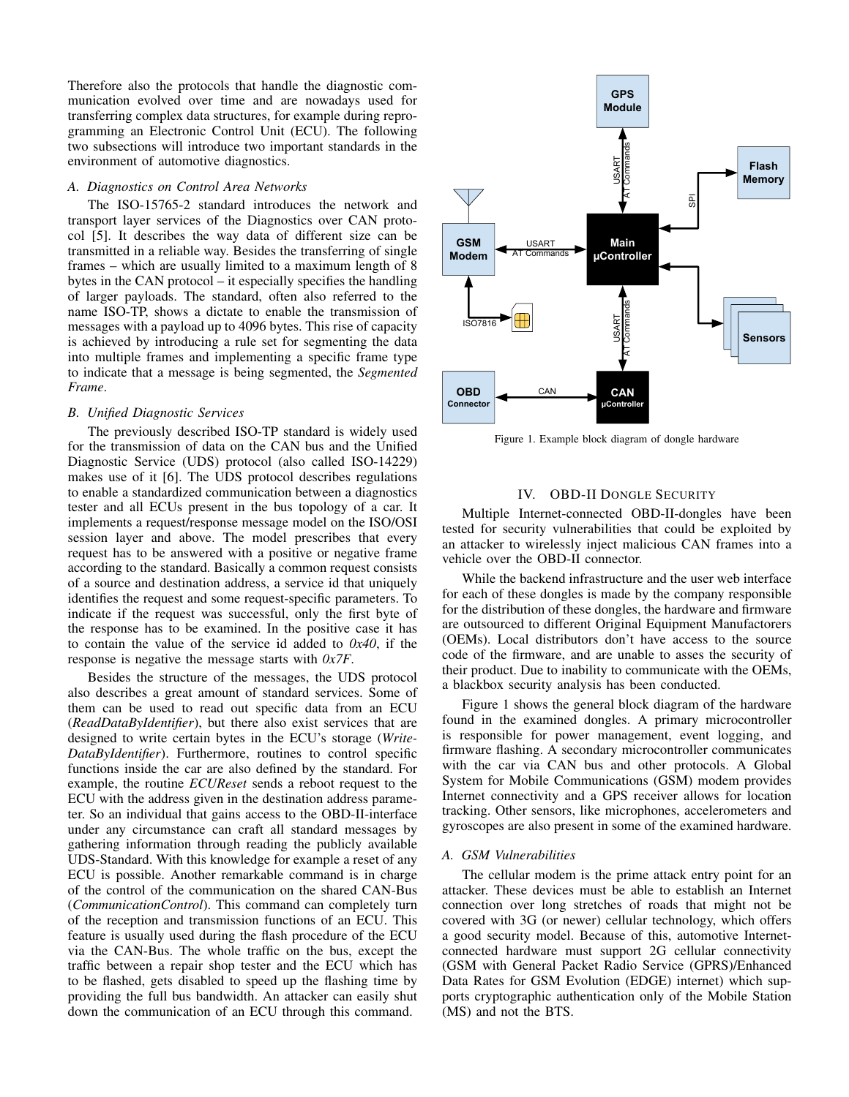Therefore also the protocols that handle the diagnostic communication evolved over time and are nowadays used for transferring complex data structures, for example during reprogramming an Electronic Control Unit (ECU). The following two subsections will introduce two important standards in the environment of automotive diagnostics.

#### *A. Diagnostics on Control Area Networks*

The ISO-15765-2 standard introduces the network and transport layer services of the Diagnostics over CAN protocol [5]. It describes the way data of different size can be transmitted in a reliable way. Besides the transferring of single frames – which are usually limited to a maximum length of 8 bytes in the CAN protocol – it especially specifies the handling of larger payloads. The standard, often also referred to the name ISO-TP, shows a dictate to enable the transmission of messages with a payload up to 4096 bytes. This rise of capacity is achieved by introducing a rule set for segmenting the data into multiple frames and implementing a specific frame type to indicate that a message is being segmented, the *Segmented Frame*.

#### *B. Unified Diagnostic Services*

The previously described ISO-TP standard is widely used for the transmission of data on the CAN bus and the Unified Diagnostic Service (UDS) protocol (also called ISO-14229) makes use of it [6]. The UDS protocol describes regulations to enable a standardized communication between a diagnostics tester and all ECUs present in the bus topology of a car. It implements a request/response message model on the ISO/OSI session layer and above. The model prescribes that every request has to be answered with a positive or negative frame according to the standard. Basically a common request consists of a source and destination address, a service id that uniquely identifies the request and some request-specific parameters. To indicate if the request was successful, only the first byte of the response has to be examined. In the positive case it has to contain the value of the service id added to *0x40*, if the response is negative the message starts with *0x7F*.

Besides the structure of the messages, the UDS protocol also describes a great amount of standard services. Some of them can be used to read out specific data from an ECU (*ReadDataByIdentifier*), but there also exist services that are designed to write certain bytes in the ECU's storage (*Write-DataByIdentifier*). Furthermore, routines to control specific functions inside the car are also defined by the standard. For example, the routine *ECUReset* sends a reboot request to the ECU with the address given in the destination address parameter. So an individual that gains access to the OBD-II-interface under any circumstance can craft all standard messages by gathering information through reading the publicly available UDS-Standard. With this knowledge for example a reset of any ECU is possible. Another remarkable command is in charge of the control of the communication on the shared CAN-Bus (*CommunicationControl*). This command can completely turn of the reception and transmission functions of an ECU. This feature is usually used during the flash procedure of the ECU via the CAN-Bus. The whole traffic on the bus, except the traffic between a repair shop tester and the ECU which has to be flashed, gets disabled to speed up the flashing time by providing the full bus bandwidth. An attacker can easily shut down the communication of an ECU through this command.



Figure 1. Example block diagram of dongle hardware

## IV. OBD-II DONGLE SECURITY

Multiple Internet-connected OBD-II-dongles have been tested for security vulnerabilities that could be exploited by an attacker to wirelessly inject malicious CAN frames into a vehicle over the OBD-II connector.

While the backend infrastructure and the user web interface for each of these dongles is made by the company responsible for the distribution of these dongles, the hardware and firmware are outsourced to different Original Equipment Manufactorers (OEMs). Local distributors don't have access to the source code of the firmware, and are unable to asses the security of their product. Due to inability to communicate with the OEMs, a blackbox security analysis has been conducted.

Figure 1 shows the general block diagram of the hardware found in the examined dongles. A primary microcontroller is responsible for power management, event logging, and firmware flashing. A secondary microcontroller communicates with the car via CAN bus and other protocols. A Global System for Mobile Communications (GSM) modem provides Internet connectivity and a GPS receiver allows for location tracking. Other sensors, like microphones, accelerometers and gyroscopes are also present in some of the examined hardware.

## *A. GSM Vulnerabilities*

The cellular modem is the prime attack entry point for an attacker. These devices must be able to establish an Internet connection over long stretches of roads that might not be covered with 3G (or newer) cellular technology, which offers a good security model. Because of this, automotive Internetconnected hardware must support 2G cellular connectivity (GSM with General Packet Radio Service (GPRS)/Enhanced Data Rates for GSM Evolution (EDGE) internet) which supports cryptographic authentication only of the Mobile Station (MS) and not the BTS.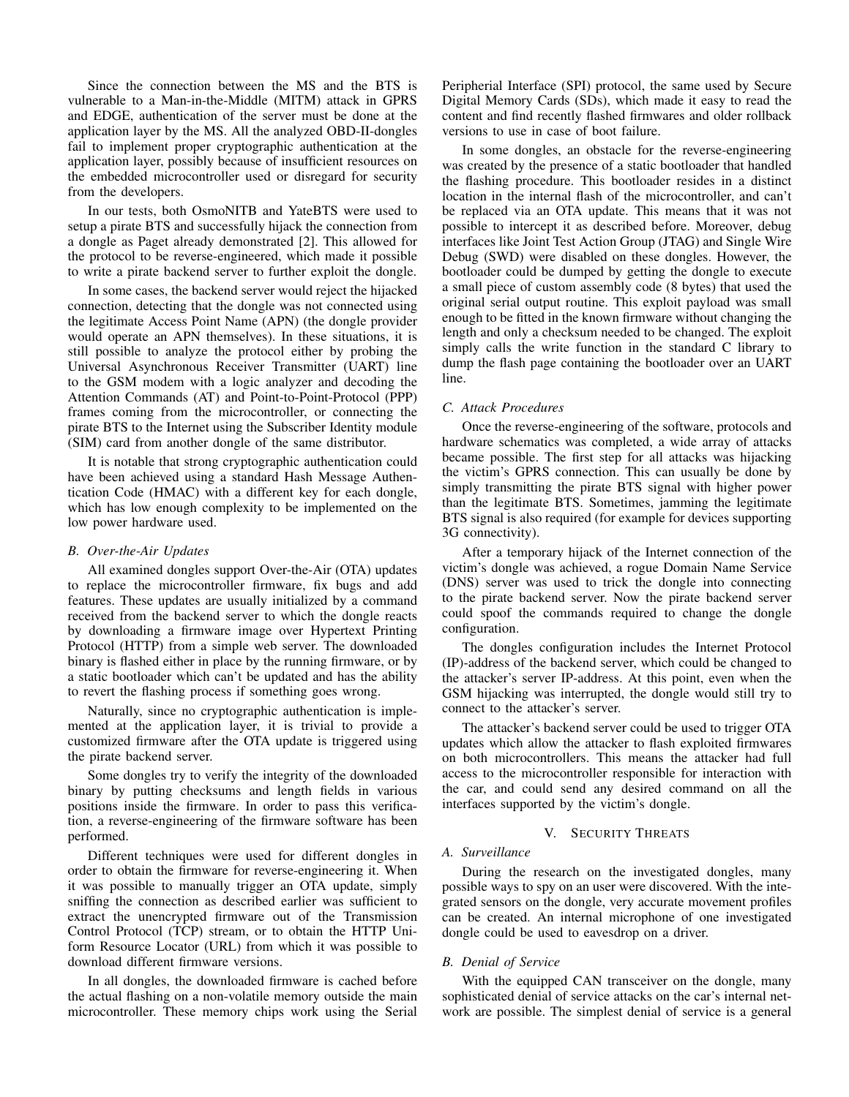Since the connection between the MS and the BTS is vulnerable to a Man-in-the-Middle (MITM) attack in GPRS and EDGE, authentication of the server must be done at the application layer by the MS. All the analyzed OBD-II-dongles fail to implement proper cryptographic authentication at the application layer, possibly because of insufficient resources on the embedded microcontroller used or disregard for security from the developers.

In our tests, both OsmoNITB and YateBTS were used to setup a pirate BTS and successfully hijack the connection from a dongle as Paget already demonstrated [2]. This allowed for the protocol to be reverse-engineered, which made it possible to write a pirate backend server to further exploit the dongle.

In some cases, the backend server would reject the hijacked connection, detecting that the dongle was not connected using the legitimate Access Point Name (APN) (the dongle provider would operate an APN themselves). In these situations, it is still possible to analyze the protocol either by probing the Universal Asynchronous Receiver Transmitter (UART) line to the GSM modem with a logic analyzer and decoding the Attention Commands (AT) and Point-to-Point-Protocol (PPP) frames coming from the microcontroller, or connecting the pirate BTS to the Internet using the Subscriber Identity module (SIM) card from another dongle of the same distributor.

It is notable that strong cryptographic authentication could have been achieved using a standard Hash Message Authentication Code (HMAC) with a different key for each dongle, which has low enough complexity to be implemented on the low power hardware used.

#### *B. Over-the-Air Updates*

All examined dongles support Over-the-Air (OTA) updates to replace the microcontroller firmware, fix bugs and add features. These updates are usually initialized by a command received from the backend server to which the dongle reacts by downloading a firmware image over Hypertext Printing Protocol (HTTP) from a simple web server. The downloaded binary is flashed either in place by the running firmware, or by a static bootloader which can't be updated and has the ability to revert the flashing process if something goes wrong.

Naturally, since no cryptographic authentication is implemented at the application layer, it is trivial to provide a customized firmware after the OTA update is triggered using the pirate backend server.

Some dongles try to verify the integrity of the downloaded binary by putting checksums and length fields in various positions inside the firmware. In order to pass this verification, a reverse-engineering of the firmware software has been performed.

Different techniques were used for different dongles in order to obtain the firmware for reverse-engineering it. When it was possible to manually trigger an OTA update, simply sniffing the connection as described earlier was sufficient to extract the unencrypted firmware out of the Transmission Control Protocol (TCP) stream, or to obtain the HTTP Uniform Resource Locator (URL) from which it was possible to download different firmware versions.

In all dongles, the downloaded firmware is cached before the actual flashing on a non-volatile memory outside the main microcontroller. These memory chips work using the Serial Peripherial Interface (SPI) protocol, the same used by Secure Digital Memory Cards (SDs), which made it easy to read the content and find recently flashed firmwares and older rollback versions to use in case of boot failure.

In some dongles, an obstacle for the reverse-engineering was created by the presence of a static bootloader that handled the flashing procedure. This bootloader resides in a distinct location in the internal flash of the microcontroller, and can't be replaced via an OTA update. This means that it was not possible to intercept it as described before. Moreover, debug interfaces like Joint Test Action Group (JTAG) and Single Wire Debug (SWD) were disabled on these dongles. However, the bootloader could be dumped by getting the dongle to execute a small piece of custom assembly code (8 bytes) that used the original serial output routine. This exploit payload was small enough to be fitted in the known firmware without changing the length and only a checksum needed to be changed. The exploit simply calls the write function in the standard C library to dump the flash page containing the bootloader over an UART line.

#### *C. Attack Procedures*

Once the reverse-engineering of the software, protocols and hardware schematics was completed, a wide array of attacks became possible. The first step for all attacks was hijacking the victim's GPRS connection. This can usually be done by simply transmitting the pirate BTS signal with higher power than the legitimate BTS. Sometimes, jamming the legitimate BTS signal is also required (for example for devices supporting 3G connectivity).

After a temporary hijack of the Internet connection of the victim's dongle was achieved, a rogue Domain Name Service (DNS) server was used to trick the dongle into connecting to the pirate backend server. Now the pirate backend server could spoof the commands required to change the dongle configuration.

The dongles configuration includes the Internet Protocol (IP)-address of the backend server, which could be changed to the attacker's server IP-address. At this point, even when the GSM hijacking was interrupted, the dongle would still try to connect to the attacker's server.

The attacker's backend server could be used to trigger OTA updates which allow the attacker to flash exploited firmwares on both microcontrollers. This means the attacker had full access to the microcontroller responsible for interaction with the car, and could send any desired command on all the interfaces supported by the victim's dongle.

#### V. SECURITY THREATS

## *A. Surveillance*

During the research on the investigated dongles, many possible ways to spy on an user were discovered. With the integrated sensors on the dongle, very accurate movement profiles can be created. An internal microphone of one investigated dongle could be used to eavesdrop on a driver.

#### *B. Denial of Service*

With the equipped CAN transceiver on the dongle, many sophisticated denial of service attacks on the car's internal network are possible. The simplest denial of service is a general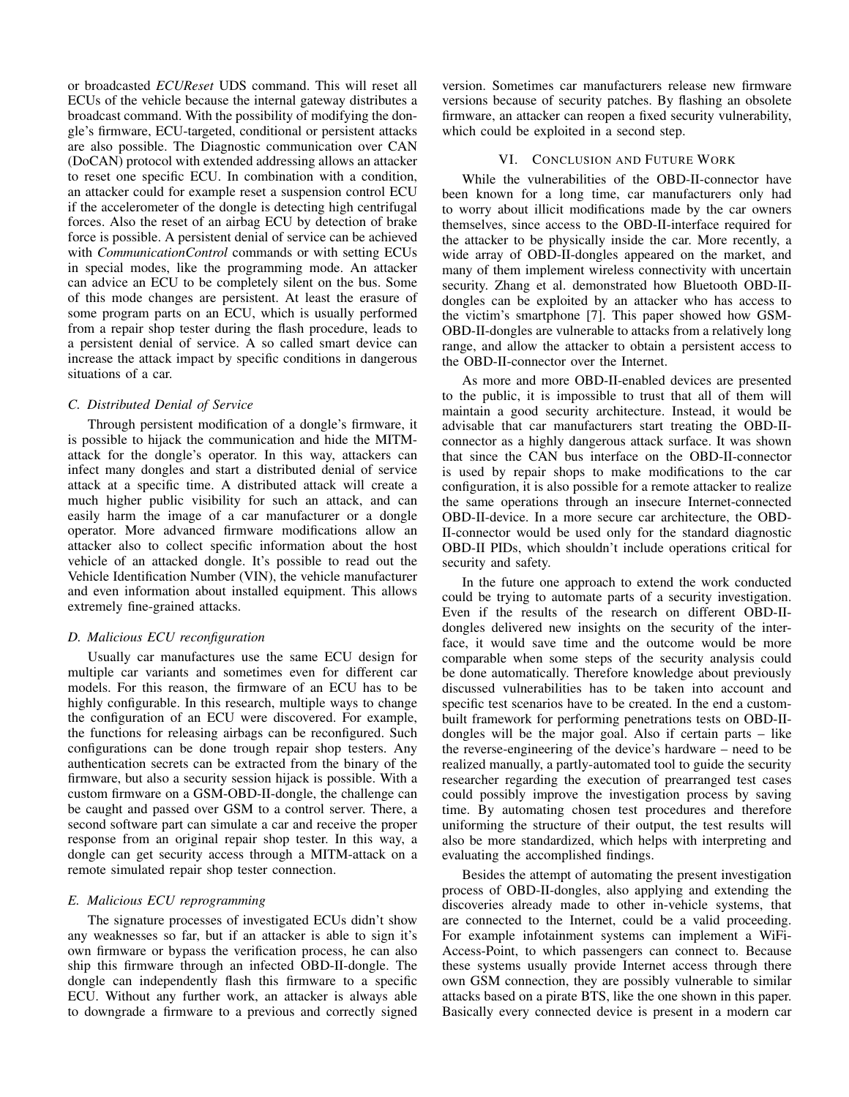or broadcasted *ECUReset* UDS command. This will reset all ECUs of the vehicle because the internal gateway distributes a broadcast command. With the possibility of modifying the dongle's firmware, ECU-targeted, conditional or persistent attacks are also possible. The Diagnostic communication over CAN (DoCAN) protocol with extended addressing allows an attacker to reset one specific ECU. In combination with a condition, an attacker could for example reset a suspension control ECU if the accelerometer of the dongle is detecting high centrifugal forces. Also the reset of an airbag ECU by detection of brake force is possible. A persistent denial of service can be achieved with *CommunicationControl* commands or with setting ECUs in special modes, like the programming mode. An attacker can advice an ECU to be completely silent on the bus. Some of this mode changes are persistent. At least the erasure of some program parts on an ECU, which is usually performed from a repair shop tester during the flash procedure, leads to a persistent denial of service. A so called smart device can increase the attack impact by specific conditions in dangerous situations of a car.

## *C. Distributed Denial of Service*

Through persistent modification of a dongle's firmware, it is possible to hijack the communication and hide the MITMattack for the dongle's operator. In this way, attackers can infect many dongles and start a distributed denial of service attack at a specific time. A distributed attack will create a much higher public visibility for such an attack, and can easily harm the image of a car manufacturer or a dongle operator. More advanced firmware modifications allow an attacker also to collect specific information about the host vehicle of an attacked dongle. It's possible to read out the Vehicle Identification Number (VIN), the vehicle manufacturer and even information about installed equipment. This allows extremely fine-grained attacks.

## *D. Malicious ECU reconfiguration*

Usually car manufactures use the same ECU design for multiple car variants and sometimes even for different car models. For this reason, the firmware of an ECU has to be highly configurable. In this research, multiple ways to change the configuration of an ECU were discovered. For example, the functions for releasing airbags can be reconfigured. Such configurations can be done trough repair shop testers. Any authentication secrets can be extracted from the binary of the firmware, but also a security session hijack is possible. With a custom firmware on a GSM-OBD-II-dongle, the challenge can be caught and passed over GSM to a control server. There, a second software part can simulate a car and receive the proper response from an original repair shop tester. In this way, a dongle can get security access through a MITM-attack on a remote simulated repair shop tester connection.

### *E. Malicious ECU reprogramming*

The signature processes of investigated ECUs didn't show any weaknesses so far, but if an attacker is able to sign it's own firmware or bypass the verification process, he can also ship this firmware through an infected OBD-II-dongle. The dongle can independently flash this firmware to a specific ECU. Without any further work, an attacker is always able to downgrade a firmware to a previous and correctly signed version. Sometimes car manufacturers release new firmware versions because of security patches. By flashing an obsolete firmware, an attacker can reopen a fixed security vulnerability, which could be exploited in a second step.

## VI. CONCLUSION AND FUTURE WORK

While the vulnerabilities of the OBD-II-connector have been known for a long time, car manufacturers only had to worry about illicit modifications made by the car owners themselves, since access to the OBD-II-interface required for the attacker to be physically inside the car. More recently, a wide array of OBD-II-dongles appeared on the market, and many of them implement wireless connectivity with uncertain security. Zhang et al. demonstrated how Bluetooth OBD-IIdongles can be exploited by an attacker who has access to the victim's smartphone [7]. This paper showed how GSM-OBD-II-dongles are vulnerable to attacks from a relatively long range, and allow the attacker to obtain a persistent access to the OBD-II-connector over the Internet.

As more and more OBD-II-enabled devices are presented to the public, it is impossible to trust that all of them will maintain a good security architecture. Instead, it would be advisable that car manufacturers start treating the OBD-IIconnector as a highly dangerous attack surface. It was shown that since the CAN bus interface on the OBD-II-connector is used by repair shops to make modifications to the car configuration, it is also possible for a remote attacker to realize the same operations through an insecure Internet-connected OBD-II-device. In a more secure car architecture, the OBD-II-connector would be used only for the standard diagnostic OBD-II PIDs, which shouldn't include operations critical for security and safety.

In the future one approach to extend the work conducted could be trying to automate parts of a security investigation. Even if the results of the research on different OBD-IIdongles delivered new insights on the security of the interface, it would save time and the outcome would be more comparable when some steps of the security analysis could be done automatically. Therefore knowledge about previously discussed vulnerabilities has to be taken into account and specific test scenarios have to be created. In the end a custombuilt framework for performing penetrations tests on OBD-IIdongles will be the major goal. Also if certain parts – like the reverse-engineering of the device's hardware – need to be realized manually, a partly-automated tool to guide the security researcher regarding the execution of prearranged test cases could possibly improve the investigation process by saving time. By automating chosen test procedures and therefore uniforming the structure of their output, the test results will also be more standardized, which helps with interpreting and evaluating the accomplished findings.

Besides the attempt of automating the present investigation process of OBD-II-dongles, also applying and extending the discoveries already made to other in-vehicle systems, that are connected to the Internet, could be a valid proceeding. For example infotainment systems can implement a WiFi-Access-Point, to which passengers can connect to. Because these systems usually provide Internet access through there own GSM connection, they are possibly vulnerable to similar attacks based on a pirate BTS, like the one shown in this paper. Basically every connected device is present in a modern car